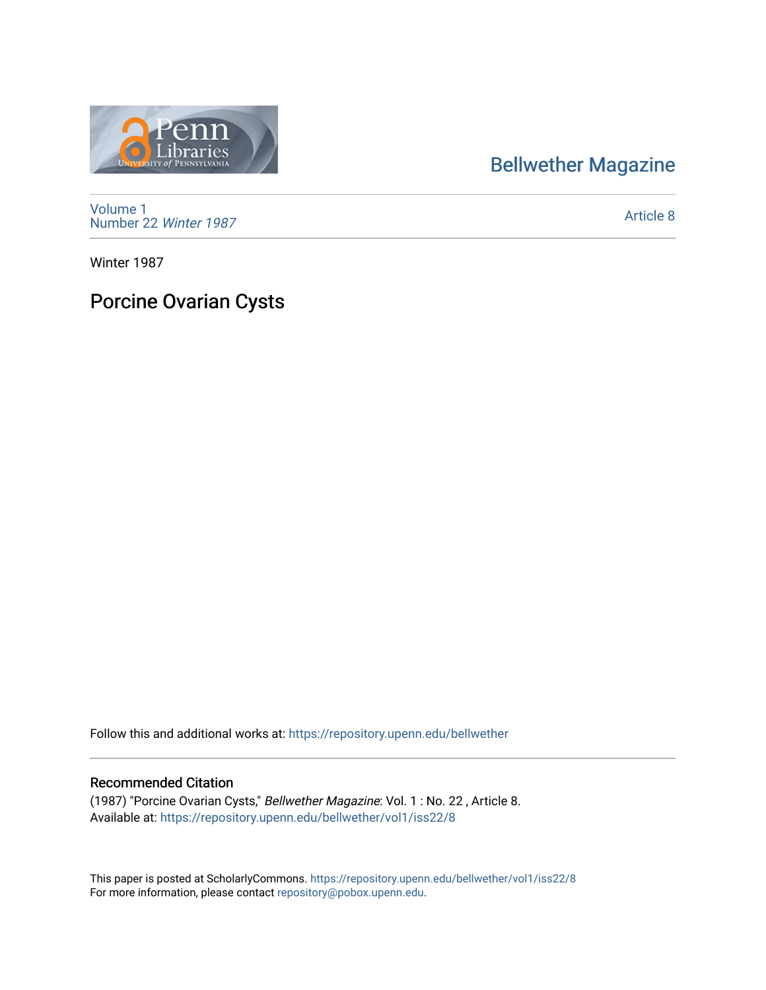## [Bellwether Magazine](https://repository.upenn.edu/bellwether)

[Volume 1](https://repository.upenn.edu/bellwether/vol1) [Number 22](https://repository.upenn.edu/bellwether/vol1/iss22) Winter 1987

[Article 8](https://repository.upenn.edu/bellwether/vol1/iss22/8) 

Winter 1987

## Porcine Ovarian Cysts

Follow this and additional works at: [https://repository.upenn.edu/bellwether](https://repository.upenn.edu/bellwether?utm_source=repository.upenn.edu%2Fbellwether%2Fvol1%2Fiss22%2F8&utm_medium=PDF&utm_campaign=PDFCoverPages) 

## Recommended Citation

(1987) "Porcine Ovarian Cysts," Bellwether Magazine: Vol. 1 : No. 22 , Article 8. Available at: [https://repository.upenn.edu/bellwether/vol1/iss22/8](https://repository.upenn.edu/bellwether/vol1/iss22/8?utm_source=repository.upenn.edu%2Fbellwether%2Fvol1%2Fiss22%2F8&utm_medium=PDF&utm_campaign=PDFCoverPages)

This paper is posted at ScholarlyCommons.<https://repository.upenn.edu/bellwether/vol1/iss22/8> For more information, please contact [repository@pobox.upenn.edu.](mailto:repository@pobox.upenn.edu)